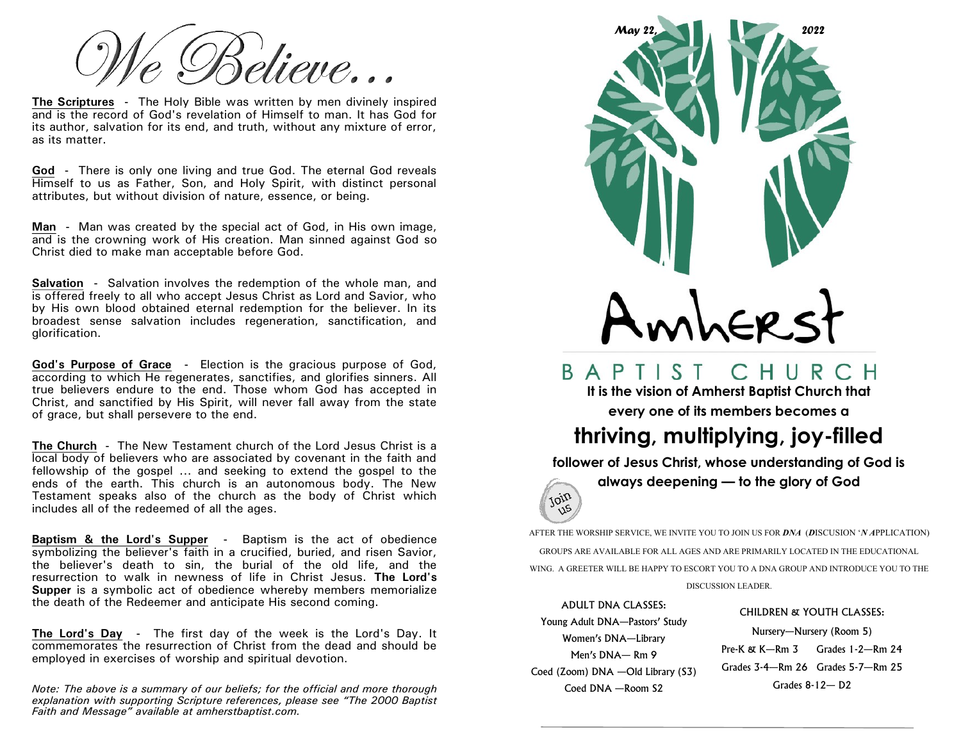élieve…

**The Scriptures -** The Holy Bible was written by men divinely inspired and is the record of God's revelation of Himself to man. It has God for its author, salvation for its end, and truth, without any mixture of error, as its matter.

**God -** There is only one living and true God. The eternal God reveals Himself to us as Father, Son, and Holy Spirit, with distinct personal attributes, but without division of nature, essence, or being.

**Man -** Man was created by the special act of God, in His own image, and is the crowning work of His creation. Man sinned against God so Christ died to make man acceptable before God.

**Salvation -** Salvation involves the redemption of the whole man, and is offered freely to all who accept Jesus Christ as Lord and Savior, who by His own blood obtained eternal redemption for the believer. In its broadest sense salvation includes regeneration, sanctification, and glorification.

**God's Purpose of Grace -** Election is the gracious purpose of God, according to which He regenerates, sanctifies, and glorifies sinners. All true believers endure to the end. Those whom God has accepted in Christ, and sanctified by His Spirit, will never fall away from the state of grace, but shall persevere to the end.

**The Church -** The New Testament church of the Lord Jesus Christ is a local body of believers who are associated by covenant in the faith and fellowship of the gospel  $\ldots$  and seeking to extend the gospel to the ends of the earth. This church is an autonomous body. The New Testament speaks also of the church as the body of Christ which includes all of the redeemed of all the ages.

**Baptism & the Lord's Supper -** Baptism is the act of obedience symbolizing the believer's faith in a crucified, buried, and risen Savior, the believer's death to sin, the burial of the old life, and the resurrection to walk in newness of life in Christ Jesus. **The Lord's Supper** is a symbolic act of obedience whereby members memorialize the death of the Redeemer and anticipate His second coming.

**The Lord's Day -** The first day of the week is the Lord's Day. It commemorates the resurrection of Christ from the dead and should be employed in exercises of worship and spiritual devotion.

*Note: The above is a summary of our beliefs; for the official and more thorough explanation with supporting Scripture references, please see "The 2000 Baptist Faith and Message" available at amherstbaptist.com.* 



BAPTIST CHURCH

**It is the vision of Amherst Baptist Church that every one of its members becomes a** 

## **thriving, multiplying, joy-filled**

**follower of Jesus Christ, whose understanding of God is** 

**always deepening — to the glory of God** 

AFTER THE WORSHIP SERVICE, WE INVITE YOU TO JOIN US FOR *DNA* (*D*ISCUSION '*N A*PPLICATION) GROUPS ARE AVAILABLE FOR ALL AGES AND ARE PRIMARILY LOCATED IN THE EDUCATIONAL WING. A GREETER WILL BE HAPPY TO ESCORT YOU TO A DNA GROUP AND INTRODUCE YOU TO THE

DISCUSSION LEADER.

ADULT DNA CLASSES: Young Adult DNA—Pastors' Study Women's DNA—Library Men's DNA— Rm 9 Coed (Zoom) DNA —Old Library (S3) Coed DNA —Room S2

join  $\sqrt{15}$ 

CHILDREN & YOUTH CLASSES:

Nursery—Nursery (Room 5) Pre-K & K—Rm 3 Grades 1-2—Rm 24 Grades 3-4—Rm 26 Grades 5-7—Rm 25 Grades 8-12— D2